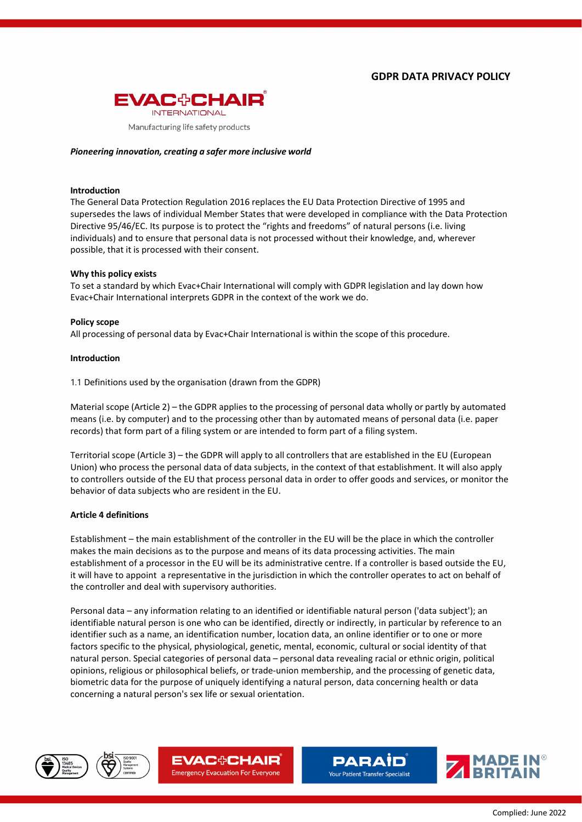

### *Pioneering innovation, creating a safer more inclusive world*

#### **Introduction**

The General Data Protection Regulation 2016 replaces the EU Data Protection Directive of 1995 and supersedes the laws of individual Member States that were developed in compliance with the Data Protection Directive 95/46/EC. Its purpose is to protect the "rights and freedoms" of natural persons (i.e. living individuals) and to ensure that personal data is not processed without their knowledge, and, wherever possible, that it is processed with their consent.

#### **Why this policy exists**

To set a standard by which Evac+Chair International will comply with GDPR legislation and lay down how Evac+Chair International interprets GDPR in the context of the work we do.

#### **Policy scope**

All processing of personal data by Evac+Chair International is within the scope of this procedure.

#### **Introduction**

1.1 Definitions used by the organisation (drawn from the GDPR)

Material scope (Article 2) – the GDPR applies to the processing of personal data wholly or partly by automated means (i.e. by computer) and to the processing other than by automated means of personal data (i.e. paper records) that form part of a filing system or are intended to form part of a filing system.

Territorial scope (Article 3) – the GDPR will apply to all controllers that are established in the EU (European Union) who process the personal data of data subjects, in the context of that establishment. It will also apply to controllers outside of the EU that process personal data in order to offer goods and services, or monitor the behavior of data subjects who are resident in the EU.

### **Article 4 definitions**

Establishment – the main establishment of the controller in the EU will be the place in which the controller makes the main decisions as to the purpose and means of its data processing activities. The main establishment of a processor in the EU will be its administrative centre. If a controller is based outside the EU, it will have to appoint a representative in the jurisdiction in which the controller operates to act on behalf of the controller and deal with supervisory authorities.

Personal data – any information relating to an identified or identifiable natural person ('data subject'); an identifiable natural person is one who can be identified, directly or indirectly, in particular by reference to an identifier such as a name, an identification number, location data, an online identifier or to one or more factors specific to the physical, physiological, genetic, mental, economic, cultural or social identity of that natural person. Special categories of personal data – personal data revealing racial or ethnic origin, political opinions, religious or philosophical beliefs, or trade-union membership, and the processing of genetic data, biometric data for the purpose of uniquely identifying a natural person, data concerning health or data concerning a natural person's sex life or sexual orientation.









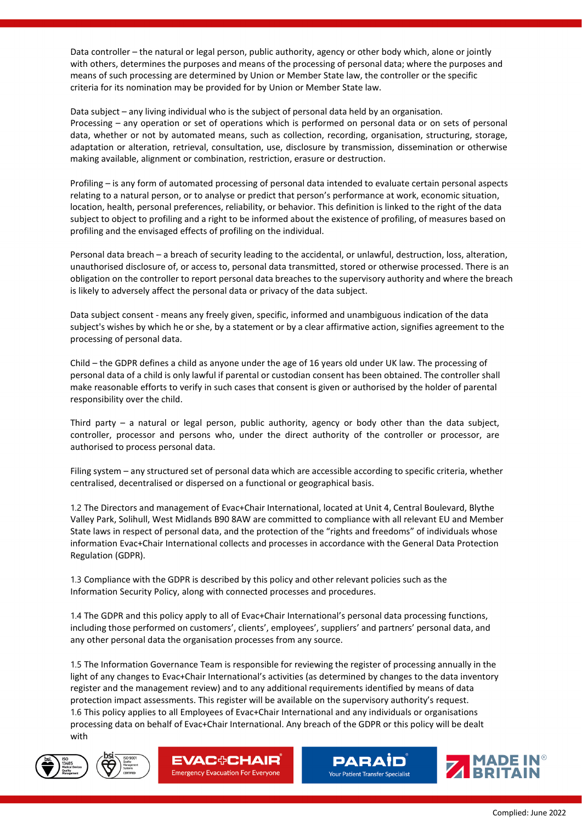Data controller – the natural or legal person, public authority, agency or other body which, alone or jointly with others, determines the purposes and means of the processing of personal data; where the purposes and means of such processing are determined by Union or Member State law, the controller or the specific criteria for its nomination may be provided for by Union or Member State law.

Data subject – any living individual who is the subject of personal data held by an organisation. Processing – any operation or set of operations which is performed on personal data or on sets of personal data, whether or not by automated means, such as collection, recording, organisation, structuring, storage, adaptation or alteration, retrieval, consultation, use, disclosure by transmission, dissemination or otherwise making available, alignment or combination, restriction, erasure or destruction.

Profiling – is any form of automated processing of personal data intended to evaluate certain personal aspects relating to a natural person, or to analyse or predict that person's performance at work, economic situation, location, health, personal preferences, reliability, or behavior. This definition is linked to the right of the data subject to object to profiling and a right to be informed about the existence of profiling, of measures based on profiling and the envisaged effects of profiling on the individual.

Personal data breach – a breach of security leading to the accidental, or unlawful, destruction, loss, alteration, unauthorised disclosure of, or access to, personal data transmitted, stored or otherwise processed. There is an obligation on the controller to report personal data breaches to the supervisory authority and where the breach is likely to adversely affect the personal data or privacy of the data subject.

Data subject consent - means any freely given, specific, informed and unambiguous indication of the data subject's wishes by which he or she, by a statement or by a clear affirmative action, signifies agreement to the processing of personal data.

Child – the GDPR defines a child as anyone under the age of 16 years old under UK law. The processing of personal data of a child is only lawful if parental or custodian consent has been obtained. The controller shall make reasonable efforts to verify in such cases that consent is given or authorised by the holder of parental responsibility over the child.

Third party – a natural or legal person, public authority, agency or body other than the data subject, controller, processor and persons who, under the direct authority of the controller or processor, are authorised to process personal data.

Filing system – any structured set of personal data which are accessible according to specific criteria, whether centralised, decentralised or dispersed on a functional or geographical basis.

1.2 The Directors and management of Evac+Chair International, located at Unit 4, Central Boulevard, Blythe Valley Park, Solihull, West Midlands B90 8AW are committed to compliance with all relevant EU and Member State laws in respect of personal data, and the protection of the "rights and freedoms" of individuals whose information Evac+Chair International collects and processes in accordance with the General Data Protection Regulation (GDPR).

1.3 Compliance with the GDPR is described by this policy and other relevant policies such as the Information Security Policy, along with connected processes and procedures.

1.4 The GDPR and this policy apply to all of Evac+Chair International's personal data processing functions, including those performed on customers', clients', employees', suppliers' and partners' personal data, and any other personal data the organisation processes from any source.

1.5 The Information Governance Team is responsible for reviewing the register of processing annually in the light of any changes to Evac+Chair International's activities (as determined by changes to the data inventory register and the management review) and to any additional requirements identified by means of data protection impact assessments. This register will be available on the supervisory authority's request. 1.6 This policy applies to all Employees of Evac+Chair International and any individuals or organisations processing data on behalf of Evac+Chair International. Any breach of the GDPR or this policy will be dealt with









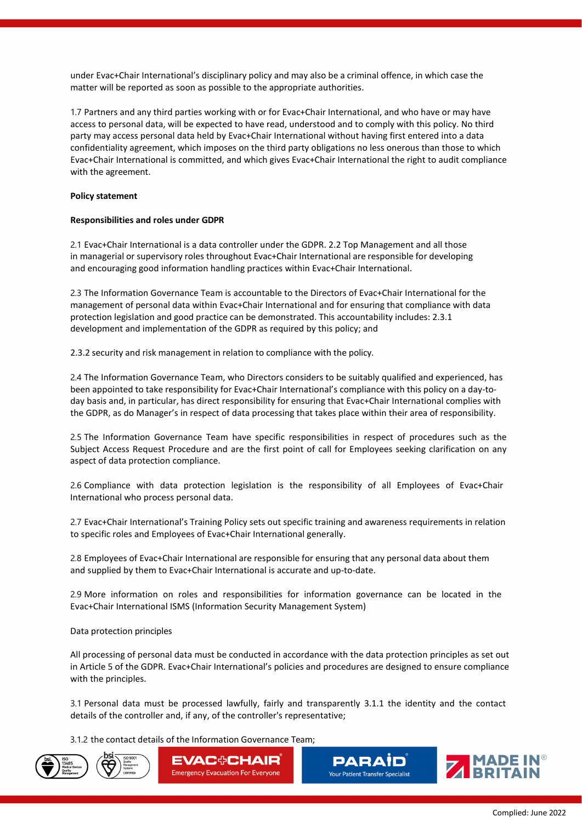under Evac+Chair International's disciplinary policy and may also be a criminal offence, in which case the matter will be reported as soon as possible to the appropriate authorities.

1.7 Partners and any third parties working with or for Evac+Chair International, and who have or may have access to personal data, will be expected to have read, understood and to comply with this policy. No third party may access personal data held by Evac+Chair International without having first entered into a data confidentiality agreement, which imposes on the third party obligations no less onerous than those to which Evac+Chair International is committed, and which gives Evac+Chair International the right to audit compliance with the agreement.

# **Policy statement**

# **Responsibilities and roles under GDPR**

2.1 Evac+Chair International is a data controller under the GDPR. 2.2 Top Management and all those in managerial or supervisory roles throughout Evac+Chair International are responsible for developing and encouraging good information handling practices within Evac+Chair International.

2.3 The Information Governance Team is accountable to the Directors of Evac+Chair International for the management of personal data within Evac+Chair International and for ensuring that compliance with data protection legislation and good practice can be demonstrated. This accountability includes: 2.3.1 development and implementation of the GDPR as required by this policy; and

2.3.2 security and risk management in relation to compliance with the policy.

2.4 The Information Governance Team, who Directors considers to be suitably qualified and experienced, has been appointed to take responsibility for Evac+Chair International's compliance with this policy on a day-today basis and, in particular, has direct responsibility for ensuring that Evac+Chair International complies with the GDPR, as do Manager's in respect of data processing that takes place within their area of responsibility.

2.5 The Information Governance Team have specific responsibilities in respect of procedures such as the Subject Access Request Procedure and are the first point of call for Employees seeking clarification on any aspect of data protection compliance.

2.6 Compliance with data protection legislation is the responsibility of all Employees of Evac+Chair International who process personal data.

2.7 Evac+Chair International's Training Policy sets out specific training and awareness requirements in relation to specific roles and Employees of Evac+Chair International generally.

2.8 Employees of Evac+Chair International are responsible for ensuring that any personal data about them and supplied by them to Evac+Chair International is accurate and up-to-date.

2.9 More information on roles and responsibilities for information governance can be located in the Evac+Chair International ISMS (Information Security Management System)

Data protection principles

All processing of personal data must be conducted in accordance with the data protection principles as set out in Article 5 of the GDPR. Evac+Chair International's policies and procedures are designed to ensure compliance with the principles.

3.1 Personal data must be processed lawfully, fairly and transparently 3.1.1 the identity and the contact details of the controller and, if any, of the controller's representative;

3.1.2 the contact details of the Information Governance Team;







**PARAID Your Patient Transfer Specialist** 

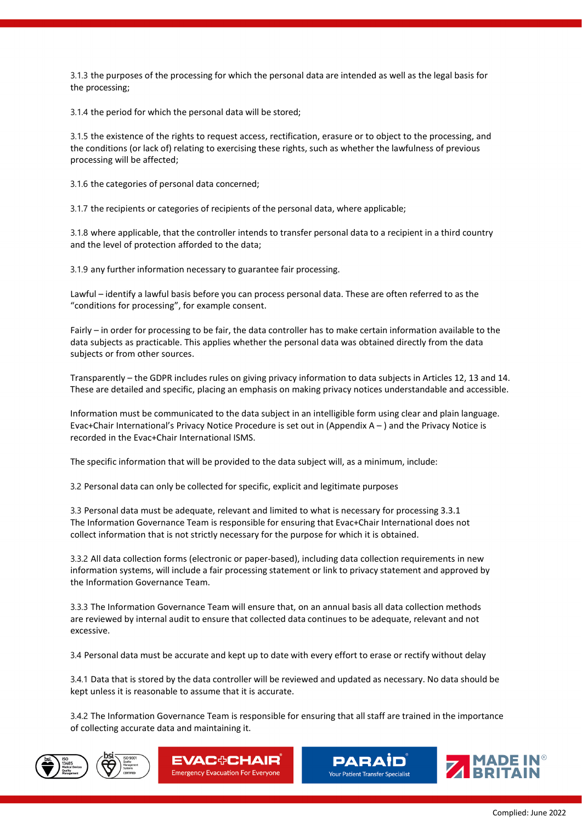3.1.3 the purposes of the processing for which the personal data are intended as well as the legal basis for the processing;

3.1.4 the period for which the personal data will be stored;

3.1.5 the existence of the rights to request access, rectification, erasure or to object to the processing, and the conditions (or lack of) relating to exercising these rights, such as whether the lawfulness of previous processing will be affected;

3.1.6 the categories of personal data concerned;

3.1.7 the recipients or categories of recipients of the personal data, where applicable;

3.1.8 where applicable, that the controller intends to transfer personal data to a recipient in a third country and the level of protection afforded to the data;

3.1.9 any further information necessary to guarantee fair processing.

Lawful – identify a lawful basis before you can process personal data. These are often referred to as the "conditions for processing", for example consent.

Fairly – in order for processing to be fair, the data controller has to make certain information available to the data subjects as practicable. This applies whether the personal data was obtained directly from the data subjects or from other sources.

Transparently – the GDPR includes rules on giving privacy information to data subjects in Articles 12, 13 and 14. These are detailed and specific, placing an emphasis on making privacy notices understandable and accessible.

Information must be communicated to the data subject in an intelligible form using clear and plain language. Evac+Chair International's Privacy Notice Procedure is set out in (Appendix A – ) and the Privacy Notice is recorded in the Evac+Chair International ISMS.

The specific information that will be provided to the data subject will, as a minimum, include:

3.2 Personal data can only be collected for specific, explicit and legitimate purposes

3.3 Personal data must be adequate, relevant and limited to what is necessary for processing 3.3.1 The Information Governance Team is responsible for ensuring that Evac+Chair International does not collect information that is not strictly necessary for the purpose for which it is obtained.

3.3.2 All data collection forms (electronic or paper-based), including data collection requirements in new information systems, will include a fair processing statement or link to privacy statement and approved by the Information Governance Team.

3.3.3 The Information Governance Team will ensure that, on an annual basis all data collection methods are reviewed by internal audit to ensure that collected data continues to be adequate, relevant and not excessive.

3.4 Personal data must be accurate and kept up to date with every effort to erase or rectify without delay

3.4.1 Data that is stored by the data controller will be reviewed and updated as necessary. No data should be kept unless it is reasonable to assume that it is accurate.

3.4.2 The Information Governance Team is responsible for ensuring that all staff are trained in the importance of collecting accurate data and maintaining it.









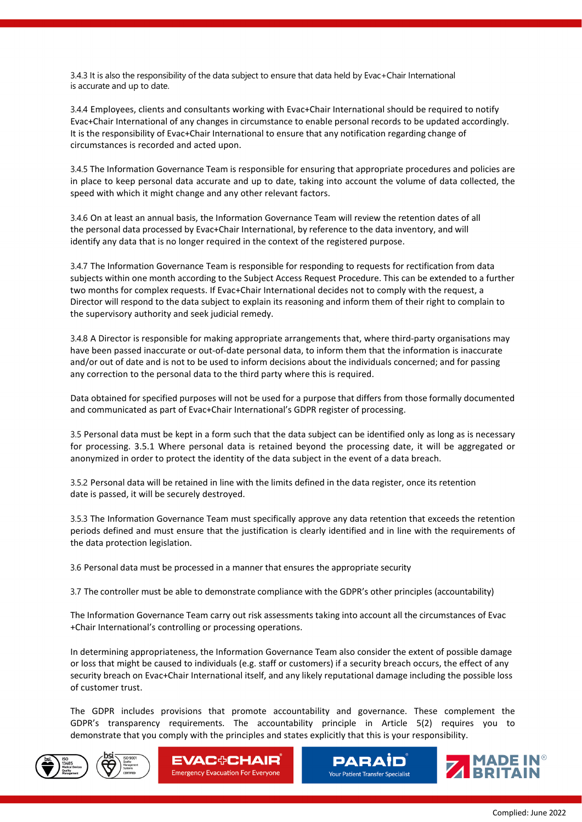3.4.3 It is also the responsibility of the data subject to ensure that data held by Evac+Chair International is accurate and up to date.

3.4.4 Employees, clients and consultants working with Evac+Chair International should be required to notify Evac+Chair International of any changes in circumstance to enable personal records to be updated accordingly. It is the responsibility of Evac+Chair International to ensure that any notification regarding change of circumstances is recorded and acted upon.

3.4.5 The Information Governance Team is responsible for ensuring that appropriate procedures and policies are in place to keep personal data accurate and up to date, taking into account the volume of data collected, the speed with which it might change and any other relevant factors.

3.4.6 On at least an annual basis, the Information Governance Team will review the retention dates of all the personal data processed by Evac+Chair International, by reference to the data inventory, and will identify any data that is no longer required in the context of the registered purpose.

3.4.7 The Information Governance Team is responsible for responding to requests for rectification from data subjects within one month according to the Subject Access Request Procedure. This can be extended to a further two months for complex requests. If Evac+Chair International decides not to comply with the request, a Director will respond to the data subject to explain its reasoning and inform them of their right to complain to the supervisory authority and seek judicial remedy.

3.4.8 A Director is responsible for making appropriate arrangements that, where third-party organisations may have been passed inaccurate or out-of-date personal data, to inform them that the information is inaccurate and/or out of date and is not to be used to inform decisions about the individuals concerned; and for passing any correction to the personal data to the third party where this is required.

Data obtained for specified purposes will not be used for a purpose that differs from those formally documented and communicated as part of Evac+Chair International's GDPR register of processing.

3.5 Personal data must be kept in a form such that the data subject can be identified only as long as is necessary for processing. 3.5.1 Where personal data is retained beyond the processing date, it will be aggregated or anonymized in order to protect the identity of the data subject in the event of a data breach.

3.5.2 Personal data will be retained in line with the limits defined in the data register, once its retention date is passed, it will be securely destroyed.

3.5.3 The Information Governance Team must specifically approve any data retention that exceeds the retention periods defined and must ensure that the justification is clearly identified and in line with the requirements of the data protection legislation.

3.6 Personal data must be processed in a manner that ensures the appropriate security

3.7 The controller must be able to demonstrate compliance with the GDPR's other principles (accountability)

The Information Governance Team carry out risk assessments taking into account all the circumstances of Evac +Chair International's controlling or processing operations.

In determining appropriateness, the Information Governance Team also consider the extent of possible damage or loss that might be caused to individuals (e.g. staff or customers) if a security breach occurs, the effect of any security breach on Evac+Chair International itself, and any likely reputational damage including the possible loss of customer trust.

The GDPR includes provisions that promote accountability and governance. These complement the GDPR's transparency requirements. The accountability principle in Article 5(2) requires you to demonstrate that you comply with the principles and states explicitly that this is your responsibility.







**PARAID Your Patient Transfer Specialist** 

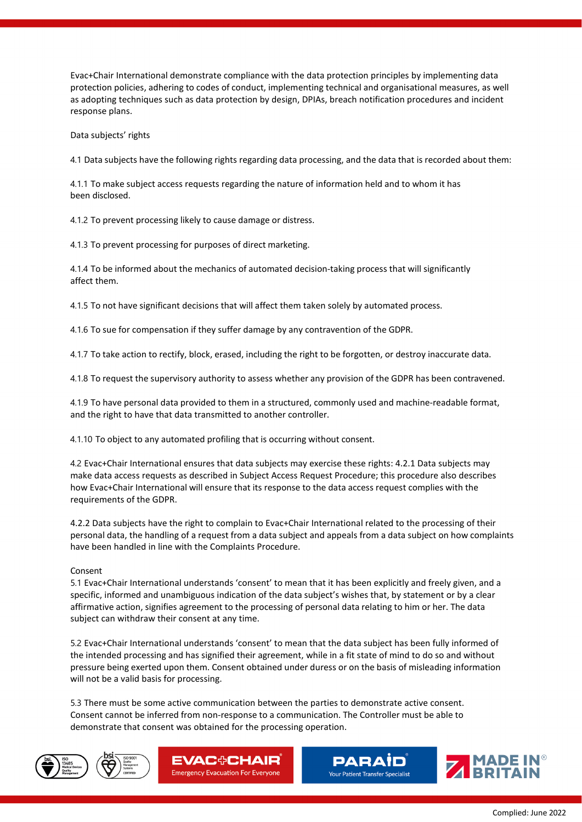Evac+Chair International demonstrate compliance with the data protection principles by implementing data protection policies, adhering to codes of conduct, implementing technical and organisational measures, as well as adopting techniques such as data protection by design, DPIAs, breach notification procedures and incident response plans.

Data subjects' rights

4.1 Data subjects have the following rights regarding data processing, and the data that is recorded about them:

4.1.1 To make subject access requests regarding the nature of information held and to whom it has been disclosed.

4.1.2 To prevent processing likely to cause damage or distress.

4.1.3 To prevent processing for purposes of direct marketing.

4.1.4 To be informed about the mechanics of automated decision-taking process that will significantly affect them.

4.1.5 To not have significant decisions that will affect them taken solely by automated process.

4.1.6 To sue for compensation if they suffer damage by any contravention of the GDPR.

4.1.7 To take action to rectify, block, erased, including the right to be forgotten, or destroy inaccurate data.

4.1.8 To request the supervisory authority to assess whether any provision of the GDPR has been contravened.

4.1.9 To have personal data provided to them in a structured, commonly used and machine-readable format, and the right to have that data transmitted to another controller.

4.1.10 To object to any automated profiling that is occurring without consent.

4.2 Evac+Chair International ensures that data subjects may exercise these rights: 4.2.1 Data subjects may make data access requests as described in Subject Access Request Procedure; this procedure also describes how Evac+Chair International will ensure that its response to the data access request complies with the requirements of the GDPR.

4.2.2 Data subjects have the right to complain to Evac+Chair International related to the processing of their personal data, the handling of a request from a data subject and appeals from a data subject on how complaints have been handled in line with the Complaints Procedure.

## Consent

5.1 Evac+Chair International understands 'consent' to mean that it has been explicitly and freely given, and a specific, informed and unambiguous indication of the data subject's wishes that, by statement or by a clear affirmative action, signifies agreement to the processing of personal data relating to him or her. The data subject can withdraw their consent at any time.

5.2 Evac+Chair International understands 'consent' to mean that the data subject has been fully informed of the intended processing and has signified their agreement, while in a fit state of mind to do so and without pressure being exerted upon them. Consent obtained under duress or on the basis of misleading information will not be a valid basis for processing.

5.3 There must be some active communication between the parties to demonstrate active consent. Consent cannot be inferred from non-response to a communication. The Controller must be able to demonstrate that consent was obtained for the processing operation.









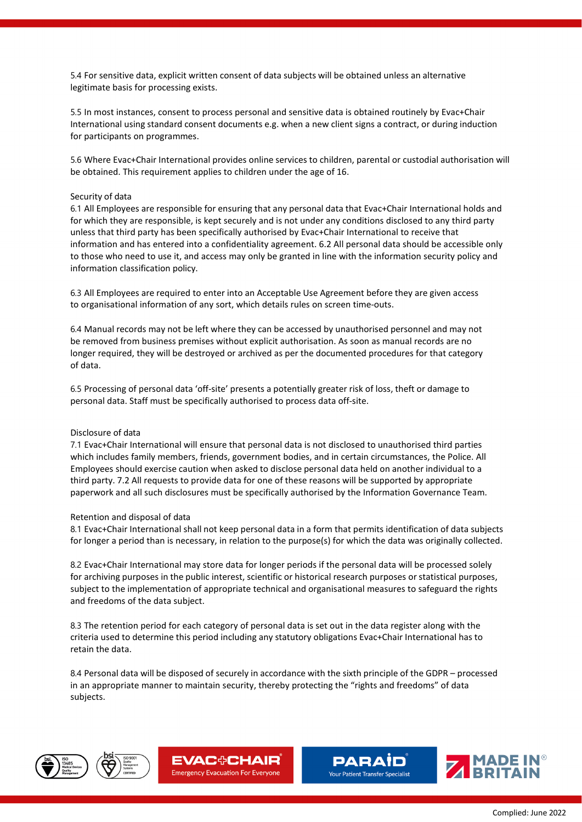5.4 For sensitive data, explicit written consent of data subjects will be obtained unless an alternative legitimate basis for processing exists.

5.5 In most instances, consent to process personal and sensitive data is obtained routinely by Evac+Chair International using standard consent documents e.g. when a new client signs a contract, or during induction for participants on programmes.

5.6 Where Evac+Chair International provides online services to children, parental or custodial authorisation will be obtained. This requirement applies to children under the age of 16.

# Security of data

6.1 All Employees are responsible for ensuring that any personal data that Evac+Chair International holds and for which they are responsible, is kept securely and is not under any conditions disclosed to any third party unless that third party has been specifically authorised by Evac+Chair International to receive that information and has entered into a confidentiality agreement. 6.2 All personal data should be accessible only to those who need to use it, and access may only be granted in line with the information security policy and information classification policy.

6.3 All Employees are required to enter into an Acceptable Use Agreement before they are given access to organisational information of any sort, which details rules on screen time-outs.

6.4 Manual records may not be left where they can be accessed by unauthorised personnel and may not be removed from business premises without explicit authorisation. As soon as manual records are no longer required, they will be destroyed or archived as per the documented procedures for that category of data.

6.5 Processing of personal data 'off-site' presents a potentially greater risk of loss, theft or damage to personal data. Staff must be specifically authorised to process data off-site.

### Disclosure of data

7.1 Evac+Chair International will ensure that personal data is not disclosed to unauthorised third parties which includes family members, friends, government bodies, and in certain circumstances, the Police. All Employees should exercise caution when asked to disclose personal data held on another individual to a third party. 7.2 All requests to provide data for one of these reasons will be supported by appropriate paperwork and all such disclosures must be specifically authorised by the Information Governance Team.

### Retention and disposal of data

8.1 Evac+Chair International shall not keep personal data in a form that permits identification of data subjects for longer a period than is necessary, in relation to the purpose(s) for which the data was originally collected.

8.2 Evac+Chair International may store data for longer periods if the personal data will be processed solely for archiving purposes in the public interest, scientific or historical research purposes or statistical purposes, subject to the implementation of appropriate technical and organisational measures to safeguard the rights and freedoms of the data subject.

8.3 The retention period for each category of personal data is set out in the data register along with the criteria used to determine this period including any statutory obligations Evac+Chair International has to retain the data.

8.4 Personal data will be disposed of securely in accordance with the sixth principle of the GDPR – processed in an appropriate manner to maintain security, thereby protecting the "rights and freedoms" of data subjects.









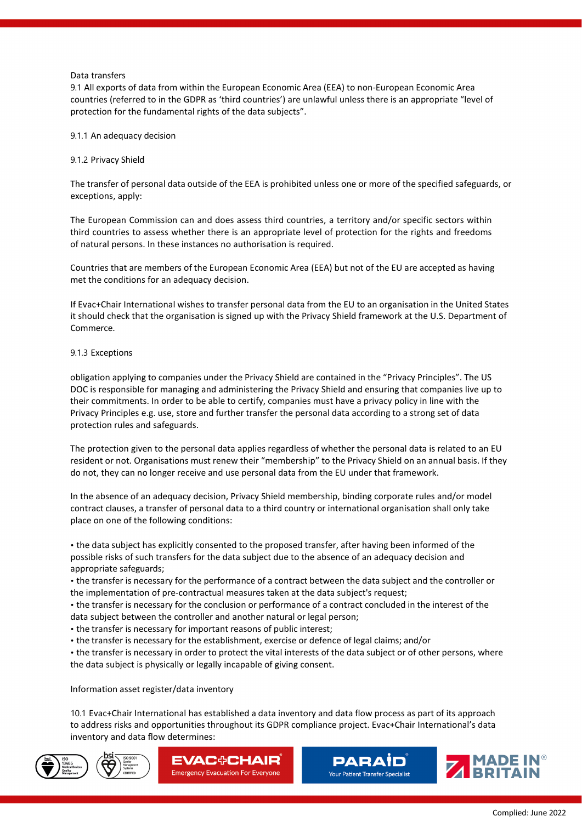# Data transfers

9.1 All exports of data from within the European Economic Area (EEA) to non-European Economic Area countries (referred to in the GDPR as 'third countries') are unlawful unless there is an appropriate "level of protection for the fundamental rights of the data subjects".

# 9.1.1 An adequacy decision

# 9.1.2 Privacy Shield

The transfer of personal data outside of the EEA is prohibited unless one or more of the specified safeguards, or exceptions, apply:

The European Commission can and does assess third countries, a territory and/or specific sectors within third countries to assess whether there is an appropriate level of protection for the rights and freedoms of natural persons. In these instances no authorisation is required.

Countries that are members of the European Economic Area (EEA) but not of the EU are accepted as having met the conditions for an adequacy decision.

If Evac+Chair International wishes to transfer personal data from the EU to an organisation in the United States it should check that the organisation is signed up with the Privacy Shield framework at the U.S. Department of Commerce.

# 9.1.3 Exceptions

obligation applying to companies under the Privacy Shield are contained in the "Privacy Principles". The US DOC is responsible for managing and administering the Privacy Shield and ensuring that companies live up to their commitments. In order to be able to certify, companies must have a privacy policy in line with the Privacy Principles e.g. use, store and further transfer the personal data according to a strong set of data protection rules and safeguards.

The protection given to the personal data applies regardless of whether the personal data is related to an EU resident or not. Organisations must renew their "membership" to the Privacy Shield on an annual basis. If they do not, they can no longer receive and use personal data from the EU under that framework.

In the absence of an adequacy decision, Privacy Shield membership, binding corporate rules and/or model contract clauses, a transfer of personal data to a third country or international organisation shall only take place on one of the following conditions:

• the data subject has explicitly consented to the proposed transfer, after having been informed of the possible risks of such transfers for the data subject due to the absence of an adequacy decision and appropriate safeguards;

• the transfer is necessary for the performance of a contract between the data subject and the controller or the implementation of pre-contractual measures taken at the data subject's request;

• the transfer is necessary for the conclusion or performance of a contract concluded in the interest of the data subject between the controller and another natural or legal person;

• the transfer is necessary for important reasons of public interest;

• the transfer is necessary for the establishment, exercise or defence of legal claims; and/or

• the transfer is necessary in order to protect the vital interests of the data subject or of other persons, where the data subject is physically or legally incapable of giving consent.

Information asset register/data inventory

10.1 Evac+Chair International has established a data inventory and data flow process as part of its approach to address risks and opportunities throughout its GDPR compliance project. Evac+Chair International's data inventory and data flow determines:





**EVAC+CHAIR Emergency Evacuation For Everyone** 



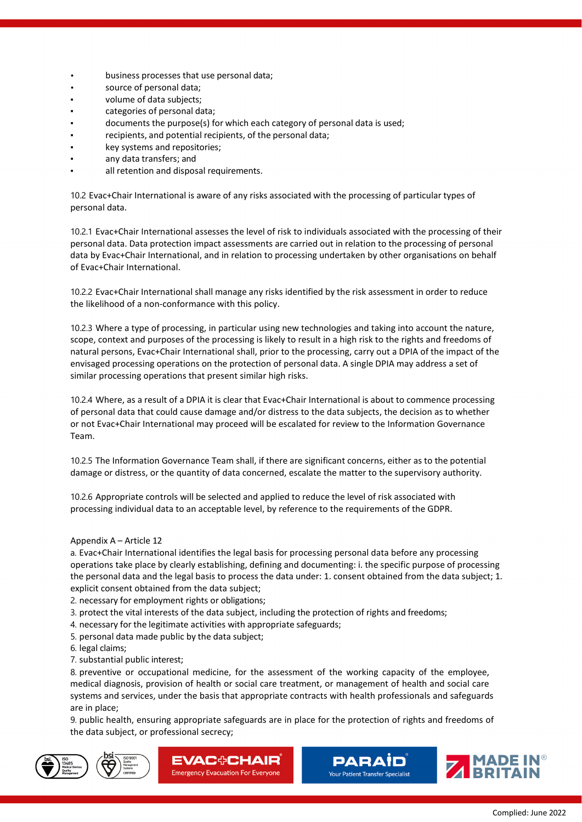- business processes that use personal data;
- source of personal data;
- volume of data subjects;
- categories of personal data;
- documents the purpose(s) for which each category of personal data is used;
- recipients, and potential recipients, of the personal data;
- key systems and repositories;
- any data transfers; and
- all retention and disposal requirements.

10.2 Evac+Chair International is aware of any risks associated with the processing of particular types of personal data.

10.2.1 Evac+Chair International assesses the level of risk to individuals associated with the processing of their personal data. Data protection impact assessments are carried out in relation to the processing of personal data by Evac+Chair International, and in relation to processing undertaken by other organisations on behalf of Evac+Chair International.

10.2.2 Evac+Chair International shall manage any risks identified by the risk assessment in order to reduce the likelihood of a non-conformance with this policy.

10.2.3 Where a type of processing, in particular using new technologies and taking into account the nature, scope, context and purposes of the processing is likely to result in a high risk to the rights and freedoms of natural persons, Evac+Chair International shall, prior to the processing, carry out a DPIA of the impact of the envisaged processing operations on the protection of personal data. A single DPIA may address a set of similar processing operations that present similar high risks.

10.2.4 Where, as a result of a DPIA it is clear that Evac+Chair International is about to commence processing of personal data that could cause damage and/or distress to the data subjects, the decision as to whether or not Evac+Chair International may proceed will be escalated for review to the Information Governance Team.

10.2.5 The Information Governance Team shall, if there are significant concerns, either as to the potential damage or distress, or the quantity of data concerned, escalate the matter to the supervisory authority.

10.2.6 Appropriate controls will be selected and applied to reduce the level of risk associated with processing individual data to an acceptable level, by reference to the requirements of the GDPR.

# Appendix A – Article 12

a. Evac+Chair International identifies the legal basis for processing personal data before any processing operations take place by clearly establishing, defining and documenting: i. the specific purpose of processing the personal data and the legal basis to process the data under: 1. consent obtained from the data subject; 1. explicit consent obtained from the data subject;

2. necessary for employment rights or obligations;

3. protect the vital interests of the data subject, including the protection of rights and freedoms;

- 4. necessary for the legitimate activities with appropriate safeguards;
- 5. personal data made public by the data subject;
- 6. legal claims;
- 7. substantial public interest;

8. preventive or occupational medicine, for the assessment of the working capacity of the employee, medical diagnosis, provision of health or social care treatment, or management of health and social care systems and services, under the basis that appropriate contracts with health professionals and safeguards are in place;

9. public health, ensuring appropriate safeguards are in place for the protection of rights and freedoms of the data subject, or professional secrecy;